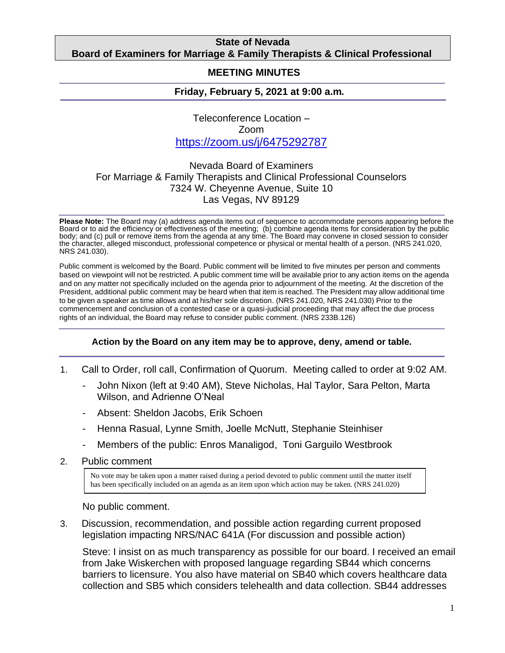### **State of Nevada Board of Examiners for Marriage & Family Therapists & Clinical Professional**

#### **Counselors MEETING MINUTES**

## **Friday, February 5, 2021 at 9:00 a.m***.*

Teleconference Location – Zoom <https://zoom.us/j/6475292787>

# Nevada Board of Examiners For Marriage & Family Therapists and Clinical Professional Counselors 7324 W. Cheyenne Avenue, Suite 10 Las Vegas, NV 89129

**Please Note:** The Board may (a) address agenda items out of sequence to accommodate persons appearing before the Board or to aid the efficiency or effectiveness of the meeting; (b) combine agenda items for consideration by the public body; and (c) pull or remove items from the agenda at any time. The Board may convene in closed session to consider the character, alleged misconduct, professional competence or physical or mental health of a person. (NRS 241.020, NRS 241.030).

Public comment is welcomed by the Board. Public comment will be limited to five minutes per person and comments based on viewpoint will not be restricted. A public comment time will be available prior to any action items on the agenda and on any matter not specifically included on the agenda prior to adjournment of the meeting. At the discretion of the President, additional public comment may be heard when that item is reached. The President may allow additional time to be given a speaker as time allows and at his/her sole discretion. (NRS 241.020, NRS 241.030) Prior to the commencement and conclusion of a contested case or a quasi-judicial proceeding that may affect the due process rights of an individual, the Board may refuse to consider public comment. (NRS 233B.126)

#### **Action by the Board on any item may be to approve, deny, amend or table.**

- 1. Call to Order, roll call, Confirmation of Quorum. Meeting called to order at 9:02 AM.
	- John Nixon (left at 9:40 AM), Steve Nicholas, Hal Taylor, Sara Pelton, Marta Wilson, and Adrienne O'Neal
	- Absent: Sheldon Jacobs, Erik Schoen
	- Henna Rasual, Lynne Smith, Joelle McNutt, Stephanie Steinhiser
	- Members of the public: Enros Manaligod, Toni Garguilo Westbrook
- 2. Public comment

No vote may be taken upon a matter raised during a period devoted to public comment until the matter itself has been specifically included on an agenda as an item upon which action may be taken. (NRS 241.020)

No public comment.

3. Discussion, recommendation, and possible action regarding current proposed legislation impacting NRS/NAC 641A (For discussion and possible action)

Steve: I insist on as much transparency as possible for our board. I received an email from Jake Wiskerchen with proposed language regarding SB44 which concerns barriers to licensure. You also have material on SB40 which covers healthcare data collection and SB5 which considers telehealth and data collection. SB44 addresses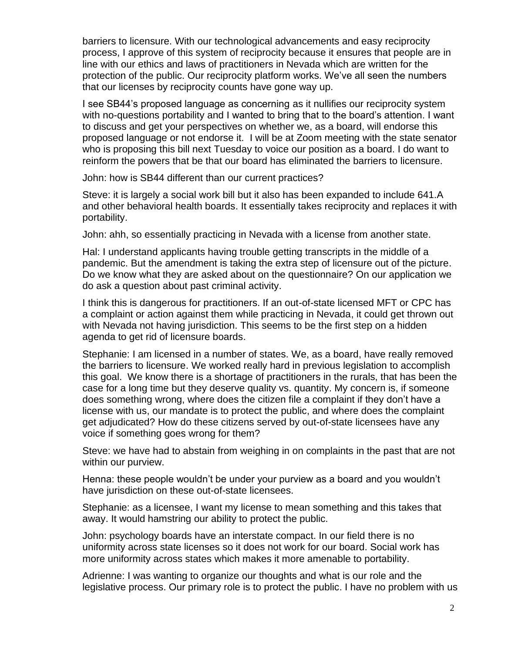barriers to licensure. With our technological advancements and easy reciprocity process, I approve of this system of reciprocity because it ensures that people are in line with our ethics and laws of practitioners in Nevada which are written for the protection of the public. Our reciprocity platform works. We've all seen the numbers that our licenses by reciprocity counts have gone way up.

I see SB44's proposed language as concerning as it nullifies our reciprocity system with no-questions portability and I wanted to bring that to the board's attention. I want to discuss and get your perspectives on whether we, as a board, will endorse this proposed language or not endorse it. I will be at Zoom meeting with the state senator who is proposing this bill next Tuesday to voice our position as a board. I do want to reinform the powers that be that our board has eliminated the barriers to licensure.

John: how is SB44 different than our current practices?

Steve: it is largely a social work bill but it also has been expanded to include 641.A and other behavioral health boards. It essentially takes reciprocity and replaces it with portability.

John: ahh, so essentially practicing in Nevada with a license from another state.

Hal: I understand applicants having trouble getting transcripts in the middle of a pandemic. But the amendment is taking the extra step of licensure out of the picture. Do we know what they are asked about on the questionnaire? On our application we do ask a question about past criminal activity.

I think this is dangerous for practitioners. If an out-of-state licensed MFT or CPC has a complaint or action against them while practicing in Nevada, it could get thrown out with Nevada not having jurisdiction. This seems to be the first step on a hidden agenda to get rid of licensure boards.

Stephanie: I am licensed in a number of states. We, as a board, have really removed the barriers to licensure. We worked really hard in previous legislation to accomplish this goal. We know there is a shortage of practitioners in the rurals, that has been the case for a long time but they deserve quality vs. quantity. My concern is, if someone does something wrong, where does the citizen file a complaint if they don't have a license with us, our mandate is to protect the public, and where does the complaint get adjudicated? How do these citizens served by out-of-state licensees have any voice if something goes wrong for them?

Steve: we have had to abstain from weighing in on complaints in the past that are not within our purview.

Henna: these people wouldn't be under your purview as a board and you wouldn't have jurisdiction on these out-of-state licensees.

Stephanie: as a licensee, I want my license to mean something and this takes that away. It would hamstring our ability to protect the public.

John: psychology boards have an interstate compact. In our field there is no uniformity across state licenses so it does not work for our board. Social work has more uniformity across states which makes it more amenable to portability.

Adrienne: I was wanting to organize our thoughts and what is our role and the legislative process. Our primary role is to protect the public. I have no problem with us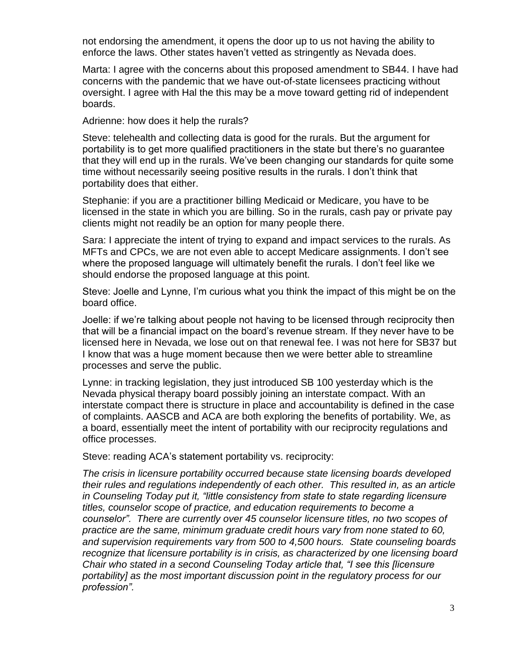not endorsing the amendment, it opens the door up to us not having the ability to enforce the laws. Other states haven't vetted as stringently as Nevada does.

Marta: I agree with the concerns about this proposed amendment to SB44. I have had concerns with the pandemic that we have out-of-state licensees practicing without oversight. I agree with Hal the this may be a move toward getting rid of independent boards.

Adrienne: how does it help the rurals?

Steve: telehealth and collecting data is good for the rurals. But the argument for portability is to get more qualified practitioners in the state but there's no guarantee that they will end up in the rurals. We've been changing our standards for quite some time without necessarily seeing positive results in the rurals. I don't think that portability does that either.

Stephanie: if you are a practitioner billing Medicaid or Medicare, you have to be licensed in the state in which you are billing. So in the rurals, cash pay or private pay clients might not readily be an option for many people there.

Sara: I appreciate the intent of trying to expand and impact services to the rurals. As MFTs and CPCs, we are not even able to accept Medicare assignments. I don't see where the proposed language will ultimately benefit the rurals. I don't feel like we should endorse the proposed language at this point.

Steve: Joelle and Lynne, I'm curious what you think the impact of this might be on the board office.

Joelle: if we're talking about people not having to be licensed through reciprocity then that will be a financial impact on the board's revenue stream. If they never have to be licensed here in Nevada, we lose out on that renewal fee. I was not here for SB37 but I know that was a huge moment because then we were better able to streamline processes and serve the public.

Lynne: in tracking legislation, they just introduced SB 100 yesterday which is the Nevada physical therapy board possibly joining an interstate compact. With an interstate compact there is structure in place and accountability is defined in the case of complaints. AASCB and ACA are both exploring the benefits of portability. We, as a board, essentially meet the intent of portability with our reciprocity regulations and office processes.

Steve: reading ACA's statement portability vs. reciprocity:

*The crisis in licensure portability occurred because state licensing boards developed their rules and regulations independently of each other. This resulted in, as an article in Counseling Today put it, "little consistency from state to state regarding licensure titles, counselor scope of practice, and education requirements to become a counselor". There are currently over 45 counselor licensure titles, no two scopes of practice are the same, minimum graduate credit hours vary from none stated to 60, and supervision requirements vary from 500 to 4,500 hours. State counseling boards recognize that licensure portability is in crisis, as characterized by one licensing board Chair who stated in a second Counseling Today article that, "I see this [licensure portability] as the most important discussion point in the regulatory process for our profession".*